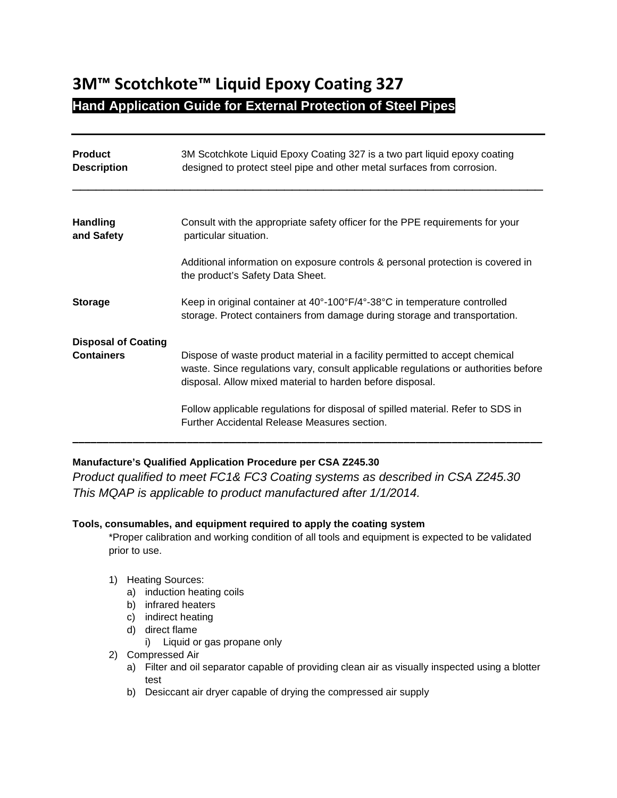# **3M™ Scotchkote™ Liquid Epoxy Coating 327 Hand Application Guide for External Protection of Steel Pipes**

| <b>Product</b><br><b>Description</b> | 3M Scotchkote Liquid Epoxy Coating 327 is a two part liquid epoxy coating<br>designed to protect steel pipe and other metal surfaces from corrosion.                                                                             |
|--------------------------------------|----------------------------------------------------------------------------------------------------------------------------------------------------------------------------------------------------------------------------------|
|                                      |                                                                                                                                                                                                                                  |
| <b>Handling</b><br>and Safety        | Consult with the appropriate safety officer for the PPE requirements for your<br>particular situation.                                                                                                                           |
|                                      | Additional information on exposure controls & personal protection is covered in<br>the product's Safety Data Sheet.                                                                                                              |
| <b>Storage</b>                       | Keep in original container at 40°-100°F/4°-38°C in temperature controlled<br>storage. Protect containers from damage during storage and transportation.                                                                          |
| <b>Disposal of Coating</b>           |                                                                                                                                                                                                                                  |
| <b>Containers</b>                    | Dispose of waste product material in a facility permitted to accept chemical<br>waste. Since regulations vary, consult applicable regulations or authorities before<br>disposal. Allow mixed material to harden before disposal. |
|                                      | Follow applicable regulations for disposal of spilled material. Refer to SDS in<br>Further Accidental Release Measures section.                                                                                                  |

# **Manufacture's Qualified Application Procedure per CSA Z245.30**

*Product qualified to meet FC1& FC3 Coating systems as described in CSA Z245.30 This MQAP is applicable to product manufactured after 1/1/2014.*

#### **Tools, consumables, and equipment required to apply the coating system**

\*Proper calibration and working condition of all tools and equipment is expected to be validated prior to use.

#### 1) Heating Sources:

- a) induction heating coils
- b) infrared heaters
- c) indirect heating
- d) direct flame
	- i) Liquid or gas propane only
- 2) Compressed Air
	- a) Filter and oil separator capable of providing clean air as visually inspected using a blotter test
	- b) Desiccant air dryer capable of drying the compressed air supply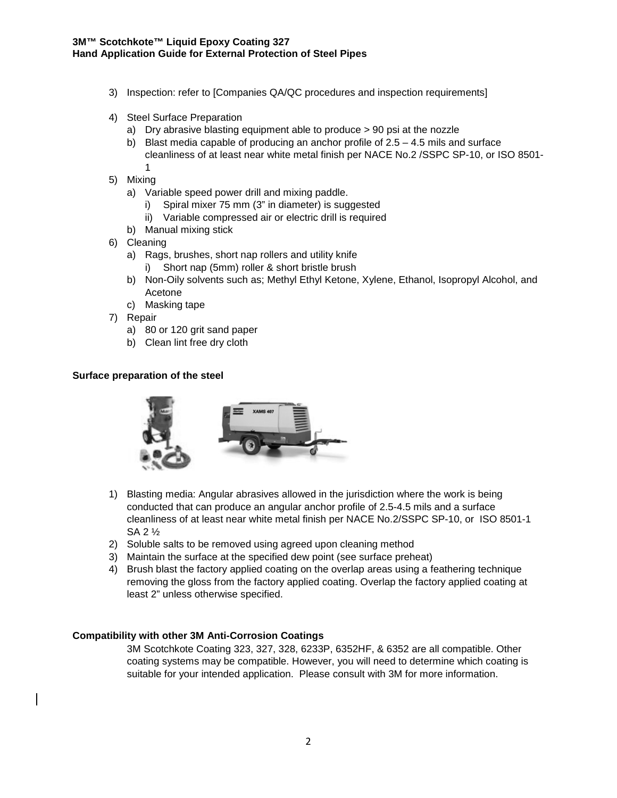- 3) Inspection: refer to [Companies QA/QC procedures and inspection requirements]
- 4) Steel Surface Preparation
	- a) Dry abrasive blasting equipment able to produce > 90 psi at the nozzle
	- b) Blast media capable of producing an anchor profile of  $2.5 4.5$  mils and surface cleanliness of at least near white metal finish per NACE No.2 /SSPC SP-10, or ISO 8501- 1
- 5) Mixing
	- a) Variable speed power drill and mixing paddle.
		- i) Spiral mixer 75 mm (3" in diameter) is suggested
		- ii) Variable compressed air or electric drill is required
	- b) Manual mixing stick
- 6) Cleaning
	- a) Rags, brushes, short nap rollers and utility knife i) Short nap (5mm) roller & short bristle brush
	- b) Non-Oily solvents such as; Methyl Ethyl Ketone, Xylene, Ethanol, Isopropyl Alcohol, and Acetone
	- c) Masking tape
- 7) Repair
	- a) 80 or 120 grit sand paper
	- b) Clean lint free dry cloth

#### **Surface preparation of the steel**



- 1) Blasting media: Angular abrasives allowed in the jurisdiction where the work is being conducted that can produce an angular anchor profile of 2.5-4.5 mils and a surface cleanliness of at least near white metal finish per NACE No.2/SSPC SP-10, or ISO 8501-1 SA 2 ½
- 2) Soluble salts to be removed using agreed upon cleaning method
- 3) Maintain the surface at the specified dew point (see surface preheat)
- 4) Brush blast the factory applied coating on the overlap areas using a feathering technique removing the gloss from the factory applied coating. Overlap the factory applied coating at least 2" unless otherwise specified.

#### **Compatibility with other 3M Anti-Corrosion Coatings**

3M Scotchkote Coating 323, 327, 328, 6233P, 6352HF, & 6352 are all compatible. Other coating systems may be compatible. However, you will need to determine which coating is suitable for your intended application. Please consult with 3M for more information.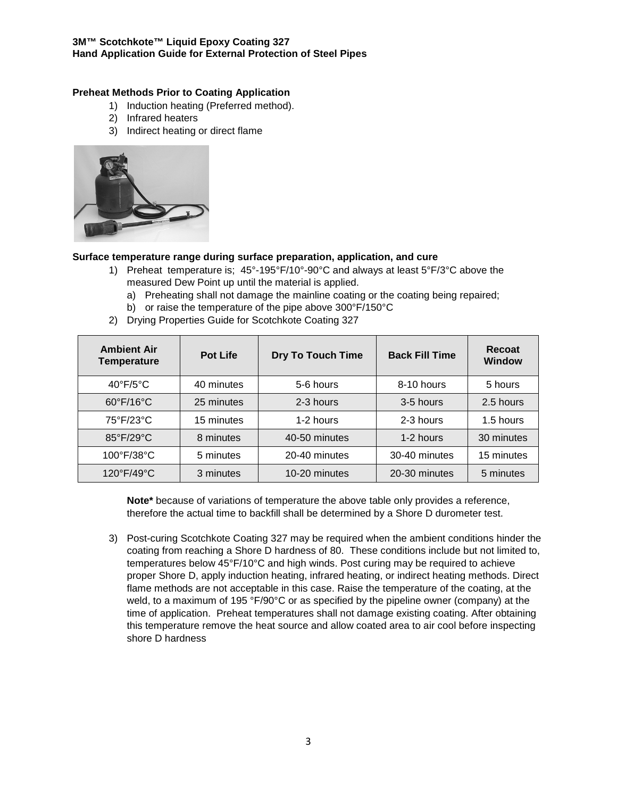#### **3M™ Scotchkote™ Liquid Epoxy Coating 327 Hand Application Guide for External Protection of Steel Pipes**

## **Preheat Methods Prior to Coating Application**

- 1) Induction heating (Preferred method).
- 2) Infrared heaters
- 3) Indirect heating or direct flame



#### **Surface temperature range during surface preparation, application, and cure**

- 1) Preheat temperature is; 45°-195°F/10°-90°C and always at least 5°F/3°C above the measured Dew Point up until the material is applied.
	- a) Preheating shall not damage the mainline coating or the coating being repaired;
	- b) or raise the temperature of the pipe above 300°F/150°C
- 2) Drying Properties Guide for Scotchkote Coating 327

| <b>Ambient Air</b><br><b>Temperature</b> | <b>Pot Life</b> | <b>Dry To Touch Time</b> | <b>Back Fill Time</b> | Recoat<br><b>Window</b> |
|------------------------------------------|-----------------|--------------------------|-----------------------|-------------------------|
| $40^{\circ}$ F/5 $^{\circ}$ C            | 40 minutes      | 5-6 hours                | 8-10 hours            | 5 hours                 |
| 60°F/16°C                                | 25 minutes      | 2-3 hours                | 3-5 hours             | 2.5 hours               |
| 75°F/23°C                                | 15 minutes      | 1-2 hours                | 2-3 hours             | 1.5 hours               |
| 85°F/29°C                                | 8 minutes       | 40-50 minutes            | 1-2 hours             | 30 minutes              |
| 100°F/38°C                               | 5 minutes       | 20-40 minutes            | 30-40 minutes         | 15 minutes              |
| 120°F/49°C                               | 3 minutes       | 10-20 minutes            | 20-30 minutes         | 5 minutes               |

**Note\*** because of variations of temperature the above table only provides a reference, therefore the actual time to backfill shall be determined by a Shore D durometer test.

3) Post-curing Scotchkote Coating 327 may be required when the ambient conditions hinder the coating from reaching a Shore D hardness of 80. These conditions include but not limited to, temperatures below 45°F/10°C and high winds. Post curing may be required to achieve proper Shore D, apply induction heating, infrared heating, or indirect heating methods. Direct flame methods are not acceptable in this case. Raise the temperature of the coating, at the weld, to a maximum of 195 °F/90°C or as specified by the pipeline owner (company) at the time of application. Preheat temperatures shall not damage existing coating. After obtaining this temperature remove the heat source and allow coated area to air cool before inspecting shore D hardness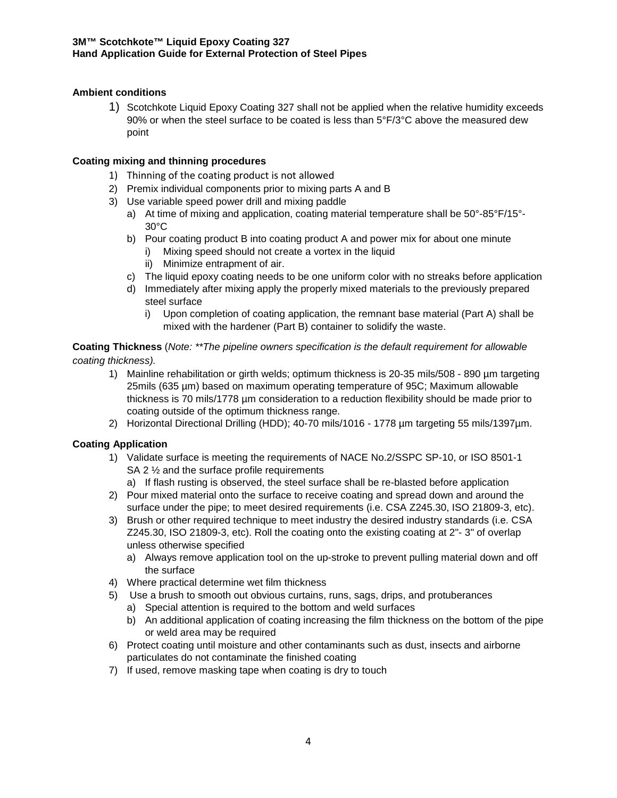# **Ambient conditions**

1) Scotchkote Liquid Epoxy Coating 327 shall not be applied when the relative humidity exceeds 90% or when the steel surface to be coated is less than 5°F/3°C above the measured dew point

## **Coating mixing and thinning procedures**

- 1) Thinning of the coating product is not allowed
- 2) Premix individual components prior to mixing parts A and B
- 3) Use variable speed power drill and mixing paddle
	- a) At time of mixing and application, coating material temperature shall be 50°-85°F/15°- 30°C
	- b) Pour coating product B into coating product A and power mix for about one minute
		- i) Mixing speed should not create a vortex in the liquid
		- ii) Minimize entrapment of air.
	- c) The liquid epoxy coating needs to be one uniform color with no streaks before application
	- d) Immediately after mixing apply the properly mixed materials to the previously prepared steel surface
		- i) Upon completion of coating application, the remnant base material (Part A) shall be mixed with the hardener (Part B) container to solidify the waste.

#### **Coating Thickness** (*Note: \*\*The pipeline owners specification is the default requirement for allowable coating thickness).*

- 1) Mainline rehabilitation or girth welds; optimum thickness is 20-35 mils/508 890 µm targeting 25mils (635 µm) based on maximum operating temperature of 95C; Maximum allowable thickness is 70 mils/1778 µm consideration to a reduction flexibility should be made prior to coating outside of the optimum thickness range.
- 2) Horizontal Directional Drilling (HDD); 40-70 mils/1016 1778 µm targeting 55 mils/1397µm.

# **Coating Application**

- 1) Validate surface is meeting the requirements of NACE No.2/SSPC SP-10, or ISO 8501-1 SA 2 ½ and the surface profile requirements
	- a) If flash rusting is observed, the steel surface shall be re-blasted before application
- 2) Pour mixed material onto the surface to receive coating and spread down and around the surface under the pipe; to meet desired requirements (i.e. CSA Z245.30, ISO 21809-3, etc).
- 3) Brush or other required technique to meet industry the desired industry standards (i.e. CSA Z245.30, ISO 21809-3, etc). Roll the coating onto the existing coating at 2"- 3" of overlap unless otherwise specified
	- a) Always remove application tool on the up-stroke to prevent pulling material down and off the surface
- 4) Where practical determine wet film thickness
- 5) Use a brush to smooth out obvious curtains, runs, sags, drips, and protuberances
	- a) Special attention is required to the bottom and weld surfaces
	- b) An additional application of coating increasing the film thickness on the bottom of the pipe or weld area may be required
- 6) Protect coating until moisture and other contaminants such as dust, insects and airborne particulates do not contaminate the finished coating
- 7) If used, remove masking tape when coating is dry to touch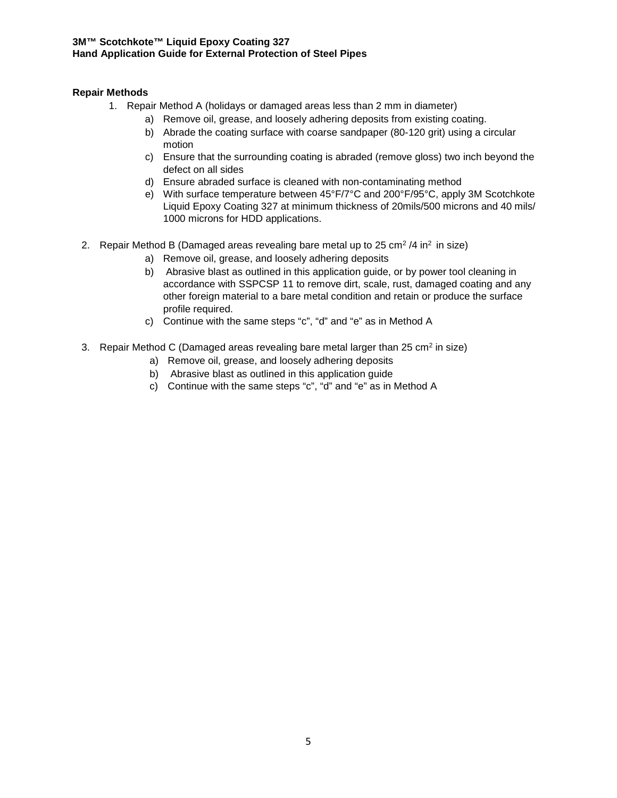#### **3M™ Scotchkote™ Liquid Epoxy Coating 327 Hand Application Guide for External Protection of Steel Pipes**

## **Repair Methods**

- 1. Repair Method A (holidays or damaged areas less than 2 mm in diameter)
	- a) Remove oil, grease, and loosely adhering deposits from existing coating.
	- b) Abrade the coating surface with coarse sandpaper (80-120 grit) using a circular motion
	- c) Ensure that the surrounding coating is abraded (remove gloss) two inch beyond the defect on all sides
	- d) Ensure abraded surface is cleaned with non-contaminating method
	- e) With surface temperature between 45°F/7°C and 200°F/95°C, apply 3M Scotchkote Liquid Epoxy Coating 327 at minimum thickness of 20mils/500 microns and 40 mils/ 1000 microns for HDD applications.
- 2. Repair Method B (Damaged areas revealing bare metal up to  $25 \text{ cm}^2 / 4$  in<sup>2</sup> in size)
	- a) Remove oil, grease, and loosely adhering deposits
	- b) Abrasive blast as outlined in this application guide, or by power tool cleaning in accordance with SSPCSP 11 to remove dirt, scale, rust, damaged coating and any other foreign material to a bare metal condition and retain or produce the surface profile required.
	- c) Continue with the same steps "c", "d" and "e" as in Method A
- 3. Repair Method C (Damaged areas revealing bare metal larger than  $25 \text{ cm}^2$  in size)
	- a) Remove oil, grease, and loosely adhering deposits
	- b) Abrasive blast as outlined in this application guide
	- c) Continue with the same steps "c", "d" and "e" as in Method A